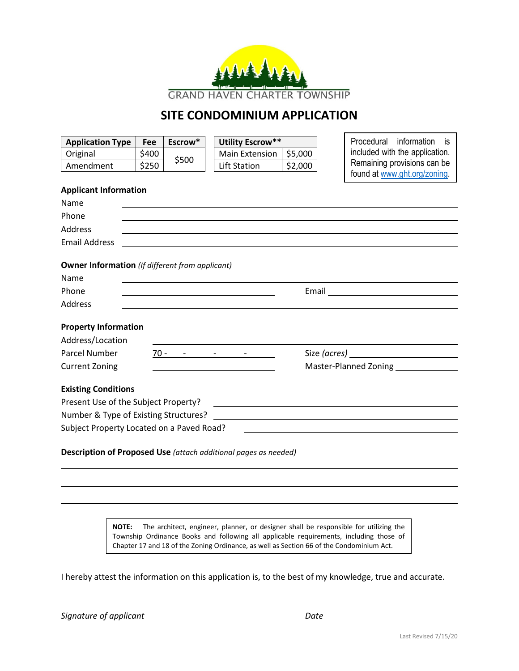

#### **SITE CONDOMINIUM APPLICATION**

| <b>Application Type</b>                                         | Fee   | Escrow* | <b>Utility Escrow**</b>       |         | Procedural information<br>is i |
|-----------------------------------------------------------------|-------|---------|-------------------------------|---------|--------------------------------|
| Original                                                        | \$400 | \$500   | Main Extension                | \$5,000 | included with the application. |
| Amendment                                                       | \$250 |         | Lift Station                  | \$2,000 | Remaining provisions can be    |
|                                                                 |       |         |                               |         | found at www.ght.org/zoning.   |
| <b>Applicant Information</b>                                    |       |         |                               |         |                                |
| Name                                                            |       |         |                               |         |                                |
| Phone                                                           |       |         |                               |         |                                |
| Address                                                         |       |         |                               |         |                                |
| <b>Email Address</b>                                            |       |         |                               |         |                                |
| <b>Owner Information</b> (If different from applicant)<br>Name  |       |         |                               |         |                                |
| Phone                                                           |       |         |                               |         |                                |
| <b>Address</b>                                                  |       |         |                               |         |                                |
| <b>Property Information</b><br>Address/Location                 |       |         |                               |         |                                |
| Parcel Number                                                   |       |         | $70 - 70 - 70 - 70 - 70 = 70$ |         |                                |
| <b>Current Zoning</b>                                           |       |         |                               |         | <b>Master-Planned Zoning</b>   |
|                                                                 |       |         |                               |         |                                |
| <b>Existing Conditions</b>                                      |       |         |                               |         |                                |
| Present Use of the Subject Property?                            |       |         |                               |         |                                |
|                                                                 |       |         |                               |         |                                |
| Subject Property Located on a Paved Road?                       |       |         |                               |         |                                |
| Description of Proposed Use (attach additional pages as needed) |       |         |                               |         |                                |

**NOTE:** The architect, engineer, planner, or designer shall be responsible for utilizing the Township Ordinance Books and following all applicable requirements, including those of Chapter 17 and 18 of the Zoning Ordinance, as well as Section 66 of the Condominium Act.

I hereby attest the information on this application is, to the best of my knowledge, true and accurate.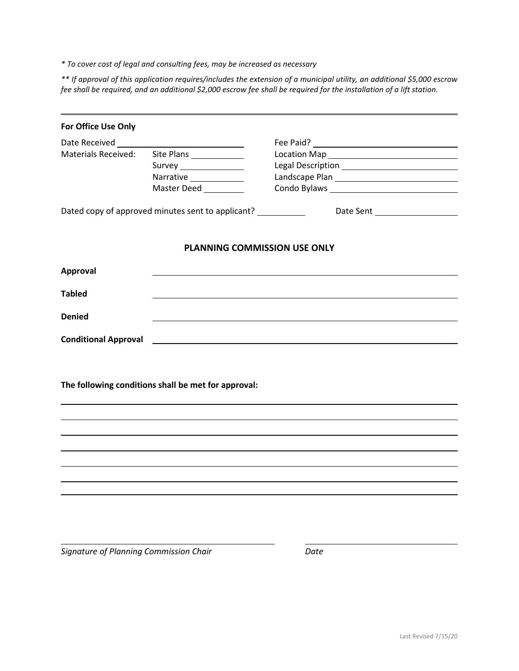*\* To cover cost of legal and consulting fees, may be increased as necessary*

*\*\* If approval of this application requires/includes the extension of a municipal utility, an additional \$5,000 escrow fee shall be required, and an additional \$2,000 escrow fee shall be required for the installation of a lift station.*

| For Office Use Only         |                                                     |                                     |  |  |
|-----------------------------|-----------------------------------------------------|-------------------------------------|--|--|
|                             |                                                     |                                     |  |  |
| <b>Materials Received:</b>  | Site Plans                                          |                                     |  |  |
|                             | Survey ________________                             | Legal Description Legal Description |  |  |
|                             | Narrative ____________                              |                                     |  |  |
|                             | Master Deed __________                              |                                     |  |  |
|                             | Dated copy of approved minutes sent to applicant?   |                                     |  |  |
|                             | <b>PLANNING COMMISSION USE ONLY</b>                 |                                     |  |  |
| <b>Approval</b>             |                                                     |                                     |  |  |
| <b>Tabled</b>               |                                                     |                                     |  |  |
|                             |                                                     |                                     |  |  |
| <b>Denied</b>               |                                                     |                                     |  |  |
| <b>Conditional Approval</b> |                                                     |                                     |  |  |
|                             |                                                     |                                     |  |  |
|                             | The following conditions shall be met for approval: |                                     |  |  |
|                             |                                                     |                                     |  |  |
|                             |                                                     |                                     |  |  |
|                             |                                                     |                                     |  |  |
|                             |                                                     |                                     |  |  |
|                             |                                                     |                                     |  |  |
|                             |                                                     |                                     |  |  |
|                             |                                                     |                                     |  |  |

*Signature of Planning Commission Chair Date*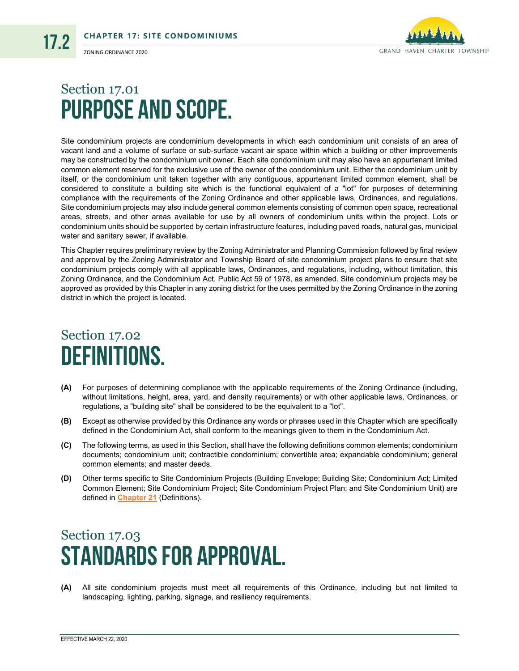

ZONING ORDINANCE 2020

17.2

#### Section 17.01 Purpose and Scope.

Site condominium projects are condominium developments in which each condominium unit consists of an area of vacant land and a volume of surface or sub-surface vacant air space within which a building or other improvements may be constructed by the condominium unit owner. Each site condominium unit may also have an appurtenant limited common element reserved for the exclusive use of the owner of the condominium unit. Either the condominium unit by itself, or the condominium unit taken together with any contiguous, appurtenant limited common element, shall be considered to constitute a building site which is the functional equivalent of a "lot" for purposes of determining compliance with the requirements of the Zoning Ordinance and other applicable laws, Ordinances, and regulations. Site condominium projects may also include general common elements consisting of common open space, recreational areas, streets, and other areas available for use by all owners of condominium units within the project. Lots or condominium units should be supported by certain infrastructure features, including paved roads, natural gas, municipal water and sanitary sewer, if available.

This Chapter requires preliminary review by the Zoning Administrator and Planning Commission followed by final review and approval by the Zoning Administrator and Township Board of site condominium project plans to ensure that site condominium projects comply with all applicable laws, Ordinances, and regulations, including, without limitation, this Zoning Ordinance, and the Condominium Act, Public Act 59 of 1978, as amended. Site condominium projects may be approved as provided by this Chapter in any zoning district for the uses permitted by the Zoning Ordinance in the zoning district in which the project is located.

#### Section 17.02 Definitions.

- **(A)** For purposes of determining compliance with the applicable requirements of the Zoning Ordinance (including, without limitations, height, area, yard, and density requirements) or with other applicable laws, Ordinances, or regulations, a "building site" shall be considered to be the equivalent to a "lot".
- **(B)** Except as otherwise provided by this Ordinance any words or phrases used in this Chapter which are specifically defined in the Condominium Act, shall conform to the meanings given to them in the Condominium Act.
- **(C)** The following terms, as used in this Section, shall have the following definitions common elements; condominium documents; condominium unit; contractible condominium; convertible area; expandable condominium; general common elements; and master deeds.
- **(D)** Other terms specific to Site Condominium Projects (Building Envelope; Building Site; Condominium Act; Limited Common Element; Site Condominium Project; Site Condominium Project Plan; and Site Condominium Unit) are defined in **Chapter 21** (Definitions).

# Section 17.03 Standards for Approval.

**(A)** All site condominium projects must meet all requirements of this Ordinance, including but not limited to landscaping, lighting, parking, signage, and resiliency requirements.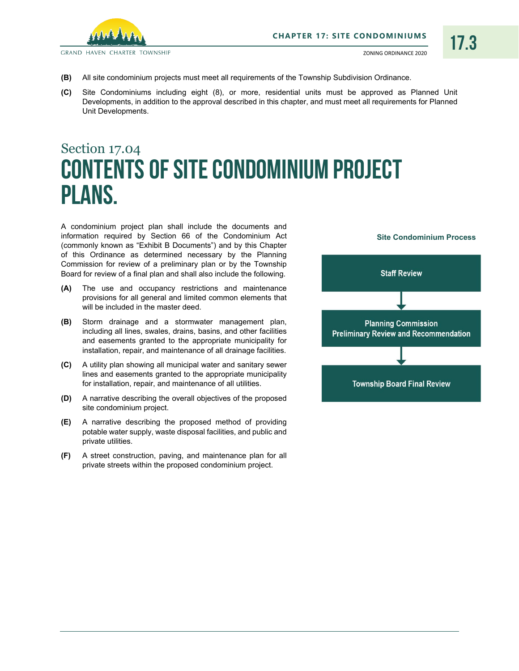

17.3

**GRAND HAVEN CHARTER TOWNSHIP** 

- **(B)** All site condominium projects must meet all requirements of the Township Subdivision Ordinance.
- **(C)** Site Condominiums including eight (8), or more, residential units must be approved as Planned Unit Developments, in addition to the approval described in this chapter, and must meet all requirements for Planned Unit Developments.

# <span id="page-3-0"></span>Section 17.04 Contents of Site Condominium Project Plans.

A condominium project plan shall include the documents and information required by Section 66 of the Condominium Act (commonly known as "Exhibit B Documents") and by this Chapter of this Ordinance as determined necessary by the Planning Commission for review of a preliminary plan or by the Township Board for review of a final plan and shall also include the following.

- **(A)** The use and occupancy restrictions and maintenance provisions for all general and limited common elements that will be included in the master deed.
- **(B)** Storm drainage and a stormwater management plan, including all lines, swales, drains, basins, and other facilities and easements granted to the appropriate municipality for installation, repair, and maintenance of all drainage facilities.
- **(C)** A utility plan showing all municipal water and sanitary sewer lines and easements granted to the appropriate municipality for installation, repair, and maintenance of all utilities.
- **(D)** A narrative describing the overall objectives of the proposed site condominium project.
- **(E)** A narrative describing the proposed method of providing potable water supply, waste disposal facilities, and public and private utilities.
- **(F)** A street construction, paving, and maintenance plan for all private streets within the proposed condominium project.

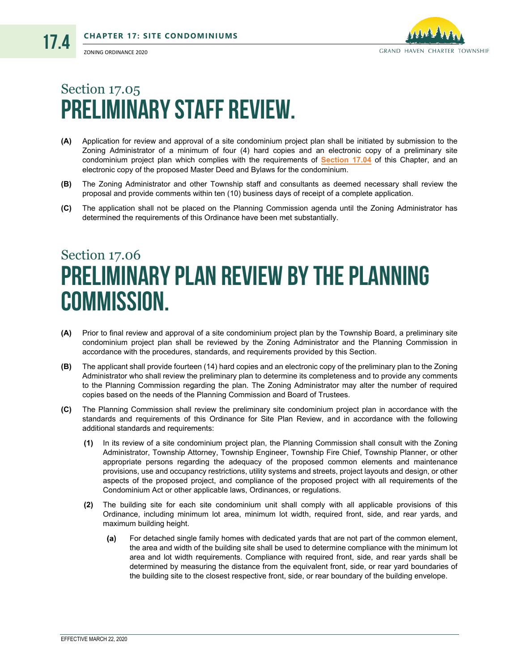17.4



# Section 17.05 Preliminary Staff Review.

- **(A)** Application for review and approval of a site condominium project plan shall be initiated by submission to the Zoning Administrator of a minimum of four (4) hard copies and an electronic copy of a preliminary site condominium project plan which complies with the requirements of **[Section 17.04](#page-3-0)** of this Chapter, and an electronic copy of the proposed Master Deed and Bylaws for the condominium.
- **(B)** The Zoning Administrator and other Township staff and consultants as deemed necessary shall review the proposal and provide comments within ten (10) business days of receipt of a complete application.
- **(C)** The application shall not be placed on the Planning Commission agenda until the Zoning Administrator has determined the requirements of this Ordinance have been met substantially.

### <span id="page-4-0"></span>Section 17.06 Preliminary Plan Review by the Planning Commission.

- **(A)** Prior to final review and approval of a site condominium project plan by the Township Board, a preliminary site condominium project plan shall be reviewed by the Zoning Administrator and the Planning Commission in accordance with the procedures, standards, and requirements provided by this Section.
- **(B)** The applicant shall provide fourteen (14) hard copies and an electronic copy of the preliminary plan to the Zoning Administrator who shall review the preliminary plan to determine its completeness and to provide any comments to the Planning Commission regarding the plan. The Zoning Administrator may alter the number of required copies based on the needs of the Planning Commission and Board of Trustees.
- **(C)** The Planning Commission shall review the preliminary site condominium project plan in accordance with the standards and requirements of this Ordinance for Site Plan Review, and in accordance with the following additional standards and requirements:
	- **(1)** In its review of a site condominium project plan, the Planning Commission shall consult with the Zoning Administrator, Township Attorney, Township Engineer, Township Fire Chief, Township Planner, or other appropriate persons regarding the adequacy of the proposed common elements and maintenance provisions, use and occupancy restrictions, utility systems and streets, project layouts and design, or other aspects of the proposed project, and compliance of the proposed project with all requirements of the Condominium Act or other applicable laws, Ordinances, or regulations.
	- **(2)** The building site for each site condominium unit shall comply with all applicable provisions of this Ordinance, including minimum lot area, minimum lot width, required front, side, and rear yards, and maximum building height.
		- $(a)$ For detached single family homes with dedicated yards that are not part of the common element, the area and width of the building site shall be used to determine compliance with the minimum lot area and lot width requirements. Compliance with required front, side, and rear yards shall be determined by measuring the distance from the equivalent front, side, or rear yard boundaries of the building site to the closest respective front, side, or rear boundary of the building envelope.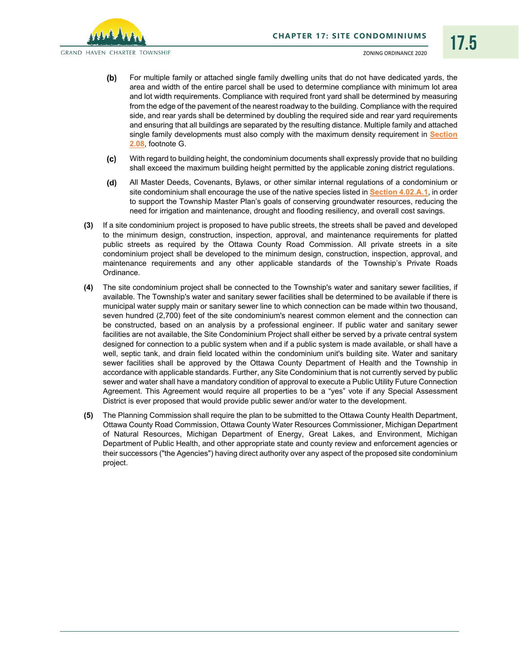**GRAND HAVEN CHARTER TOWNSHIP** 

- For multiple family or attached single family dwelling units that do not have dedicated yards, the  $(b)$ area and width of the entire parcel shall be used to determine compliance with minimum lot area and lot width requirements. Compliance with required front yard shall be determined by measuring from the edge of the pavement of the nearest roadway to the building. Compliance with the required side, and rear yards shall be determined by doubling the required side and rear yard requirements and ensuring that all buildings are separated by the resulting distance. Multiple family and attached single family developments must also comply with the maximum density requirement in **Section 2.08**, footnote G.
- $(c)$ With regard to building height, the condominium documents shall expressly provide that no building shall exceed the maximum building height permitted by the applicable zoning district regulations.
- All Master Deeds, Covenants, Bylaws, or other similar internal regulations of a condominium or  $(d)$ site condominium shall encourage the use of the native species listed in **Section 4.02.A.1**, in order to support the Township Master Plan's goals of conserving groundwater resources, reducing the need for irrigation and maintenance, drought and flooding resiliency, and overall cost savings.
- **(3)** If a site condominium project is proposed to have public streets, the streets shall be paved and developed to the minimum design, construction, inspection, approval, and maintenance requirements for platted public streets as required by the Ottawa County Road Commission. All private streets in a site condominium project shall be developed to the minimum design, construction, inspection, approval, and maintenance requirements and any other applicable standards of the Township's Private Roads Ordinance.
- **(4)** The site condominium project shall be connected to the Township's water and sanitary sewer facilities, if available. The Township's water and sanitary sewer facilities shall be determined to be available if there is municipal water supply main or sanitary sewer line to which connection can be made within two thousand, seven hundred (2,700) feet of the site condominium's nearest common element and the connection can be constructed, based on an analysis by a professional engineer. If public water and sanitary sewer facilities are not available, the Site Condominium Project shall either be served by a private central system designed for connection to a public system when and if a public system is made available, or shall have a well, septic tank, and drain field located within the condominium unit's building site. Water and sanitary sewer facilities shall be approved by the Ottawa County Department of Health and the Township in accordance with applicable standards. Further, any Site Condominium that is not currently served by public sewer and water shall have a mandatory condition of approval to execute a Public Utility Future Connection Agreement. This Agreement would require all properties to be a "yes" vote if any Special Assessment District is ever proposed that would provide public sewer and/or water to the development.
- **(5)** The Planning Commission shall require the plan to be submitted to the Ottawa County Health Department, Ottawa County Road Commission, Ottawa County Water Resources Commissioner, Michigan Department of Natural Resources, Michigan Department of Energy, Great Lakes, and Environment, Michigan Department of Public Health, and other appropriate state and county review and enforcement agencies or their successors ("the Agencies") having direct authority over any aspect of the proposed site condominium project.